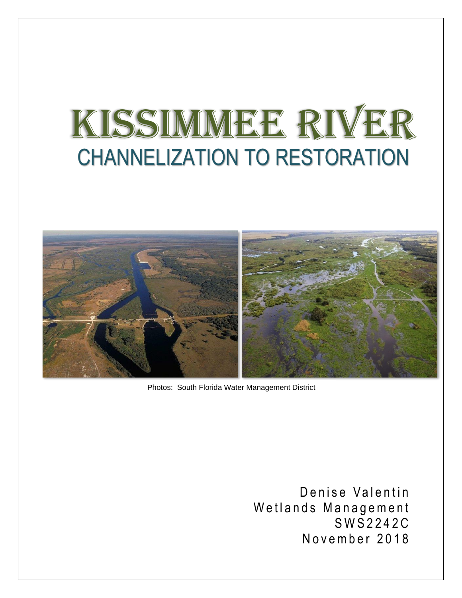# KISSIMMEE RIVER CHANNELIZATION TO RESTORATION



Photos: South Florida Water Management District

Denise Valentin Wetlands Management S W S 2 2 4 2 C November 2018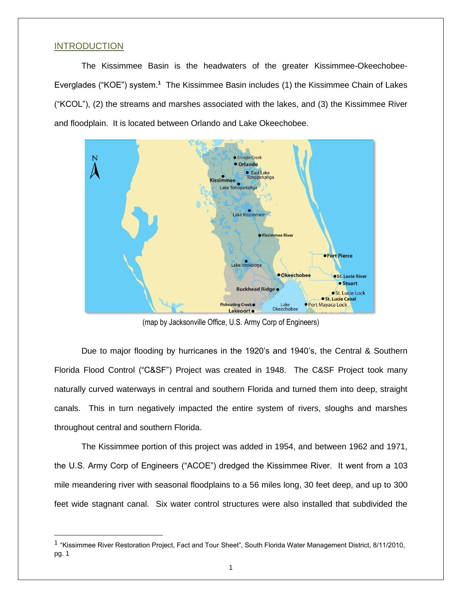### **INTRODUCTION**

The Kissimmee Basin is the headwaters of the greater Kissimmee-Okeechobee-Everglades ("KOE") system.**<sup>1</sup>** The Kissimmee Basin includes (1) the Kissimmee Chain of Lakes ("KCOL"), (2) the streams and marshes associated with the lakes, and (3) the Kissimmee River and floodplain. It is located between Orlando and Lake Okeechobee.



(map by Jacksonville Office, U.S. Army Corp of Engineers)

Due to major flooding by hurricanes in the 1920's and 1940's, the Central & Southern Florida Flood Control ("C&SF") Project was created in 1948. The C&SF Project took many naturally curved waterways in central and southern Florida and turned them into deep, straight canals. This in turn negatively impacted the entire system of rivers, sloughs and marshes throughout central and southern Florida.

The Kissimmee portion of this project was added in 1954, and between 1962 and 1971, the U.S. Army Corp of Engineers ("ACOE") dredged the Kissimmee River. It went from a 103 mile meandering river with seasonal floodplains to a 56 miles long, 30 feet deep, and up to 300 feet wide stagnant canal. Six water control structures were also installed that subdivided the

<sup>&</sup>lt;sup>1</sup> "Kissimmee River Restoration Project, Fact and Tour Sheet", South Florida Water Management District, 8/11/2010, pg. 1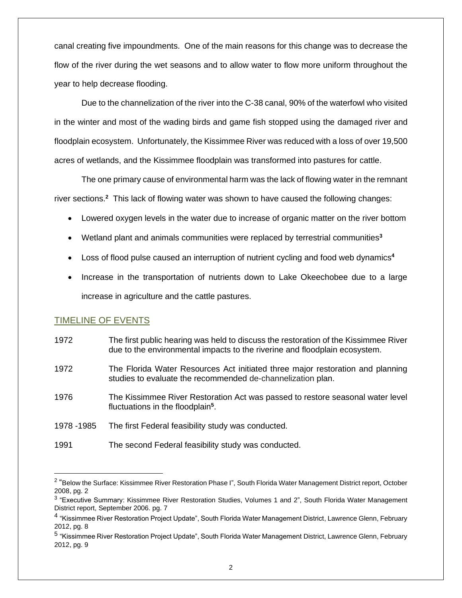canal creating five impoundments. One of the main reasons for this change was to decrease the flow of the river during the wet seasons and to allow water to flow more uniform throughout the year to help decrease flooding.

Due to the channelization of the river into the C-38 canal, 90% of the waterfowl who visited in the winter and most of the wading birds and game fish stopped using the damaged river and floodplain ecosystem. Unfortunately, the Kissimmee River was reduced with a loss of over 19,500 acres of wetlands, and the Kissimmee floodplain was transformed into pastures for cattle.

The one primary cause of environmental harm was the lack of flowing water in the remnant river sections.**<sup>2</sup>** This lack of flowing water was shown to have caused the following changes:

- Lowered oxygen levels in the water due to increase of organic matter on the river bottom
- Wetland plant and animals communities were replaced by terrestrial communities**<sup>3</sup>**
- Loss of flood pulse caused an interruption of nutrient cycling and food web dynamics**<sup>4</sup>**
- Increase in the transportation of nutrients down to Lake Okeechobee due to a large increase in agriculture and the cattle pastures.

# TIMELINE OF EVENTS

- 1972 The first public hearing was held to discuss the restoration of the Kissimmee River due to the environmental impacts to the riverine and floodplain ecosystem.
- 1972 The Florida Water Resources Act initiated three major restoration and planning studies to evaluate the recommended de-channelization plan.
- 1976 The Kissimmee River Restoration Act was passed to restore seasonal water level fluctuations in the floodplain**<sup>5</sup>** .
- 1978 -1985 The first Federal feasibility study was conducted.
- 1991 The second Federal feasibility study was conducted.

<sup>&</sup>lt;sup>2</sup> "Below the Surface: Kissimmee River Restoration Phase I", South Florida Water Management District report, October 2008, pg. 2

<sup>&</sup>lt;sup>3</sup> "Executive Summary: Kissimmee River Restoration Studies, Volumes 1 and 2", South Florida Water Management District report, September 2006. pg. 7

<sup>&</sup>lt;sup>4</sup> "Kissimmee River Restoration Project Update", South Florida Water Management District, Lawrence Glenn, February 2012, pg. 8

<sup>&</sup>lt;sup>5</sup> "Kissimmee River Restoration Project Update", South Florida Water Management District, Lawrence Glenn, February 2012, pg. 9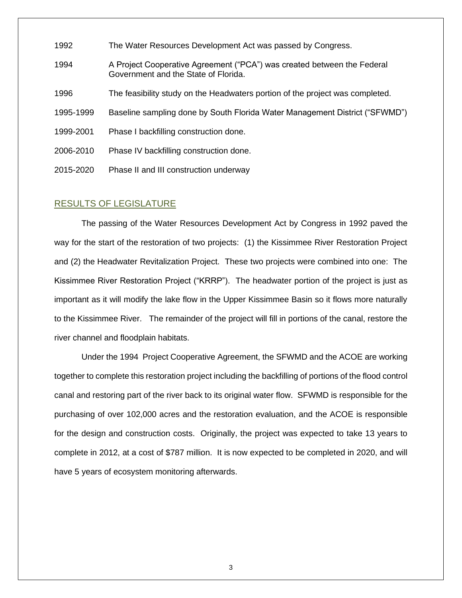- 1992 The Water Resources Development Act was passed by Congress.
- 1994 A Project Cooperative Agreement ("PCA") was created between the Federal Government and the State of Florida.
- 1996 The feasibility study on the Headwaters portion of the project was completed.
- 1995-1999 Baseline sampling done by South Florida Water Management District ("SFWMD")
- 1999-2001 Phase I backfilling construction done.
- 2006-2010 Phase IV backfilling construction done.
- 2015-2020 Phase II and III construction underway

## RESULTS OF LEGISLATURE

The passing of the Water Resources Development Act by Congress in 1992 paved the way for the start of the restoration of two projects: (1) the Kissimmee River Restoration Project and (2) the Headwater Revitalization Project. These two projects were combined into one: The Kissimmee River Restoration Project ("KRRP"). The headwater portion of the project is just as important as it will modify the lake flow in the Upper Kissimmee Basin so it flows more naturally to the Kissimmee River. The remainder of the project will fill in portions of the canal, restore the river channel and floodplain habitats.

Under the 1994 Project Cooperative Agreement, the SFWMD and the ACOE are working together to complete this restoration project including the backfilling of portions of the flood control canal and restoring part of the river back to its original water flow. SFWMD is responsible for the purchasing of over 102,000 acres and the restoration evaluation, and the ACOE is responsible for the design and construction costs. Originally, the project was expected to take 13 years to complete in 2012, at a cost of \$787 million. It is now expected to be completed in 2020, and will have 5 years of ecosystem monitoring afterwards.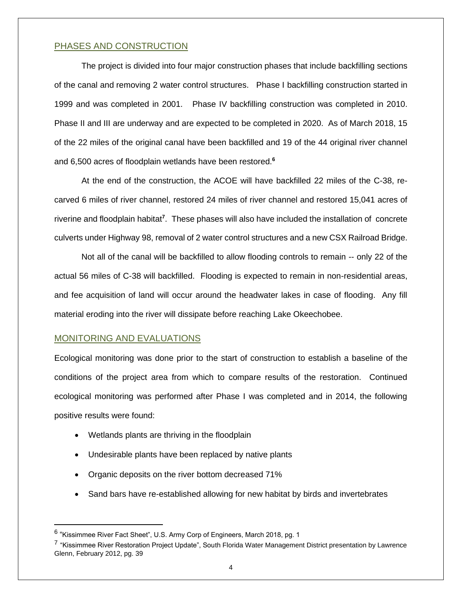## PHASES AND CONSTRUCTION

The project is divided into four major construction phases that include backfilling sections of the canal and removing 2 water control structures. Phase I backfilling construction started in 1999 and was completed in 2001. Phase IV backfilling construction was completed in 2010. Phase II and III are underway and are expected to be completed in 2020. As of March 2018, 15 of the 22 miles of the original canal have been backfilled and 19 of the 44 original river channel and 6,500 acres of floodplain wetlands have been restored.**<sup>6</sup>**

At the end of the construction, the ACOE will have backfilled 22 miles of the C-38, recarved 6 miles of river channel, restored 24 miles of river channel and restored 15,041 acres of riverine and floodplain habitat**<sup>7</sup>** . These phases will also have included the installation of concrete culverts under Highway 98, removal of 2 water control structures and a new CSX Railroad Bridge.

Not all of the canal will be backfilled to allow flooding controls to remain -- only 22 of the actual 56 miles of C-38 will backfilled. Flooding is expected to remain in non-residential areas, and fee acquisition of land will occur around the headwater lakes in case of flooding. Any fill material eroding into the river will dissipate before reaching Lake Okeechobee.

## MONITORING AND EVALUATIONS

Ecological monitoring was done prior to the start of construction to establish a baseline of the conditions of the project area from which to compare results of the restoration. Continued ecological monitoring was performed after Phase I was completed and in 2014, the following positive results were found:

- Wetlands plants are thriving in the floodplain
- Undesirable plants have been replaced by native plants
- Organic deposits on the river bottom decreased 71%
- Sand bars have re-established allowing for new habitat by birds and invertebrates

 $^6$  "Kissimmee River Fact Sheet", U.S. Army Corp of Engineers, March 2018, pg. 1

<sup>&</sup>lt;sup>7</sup> "Kissimmee River Restoration Project Update", South Florida Water Management District presentation by Lawrence Glenn, February 2012, pg. 39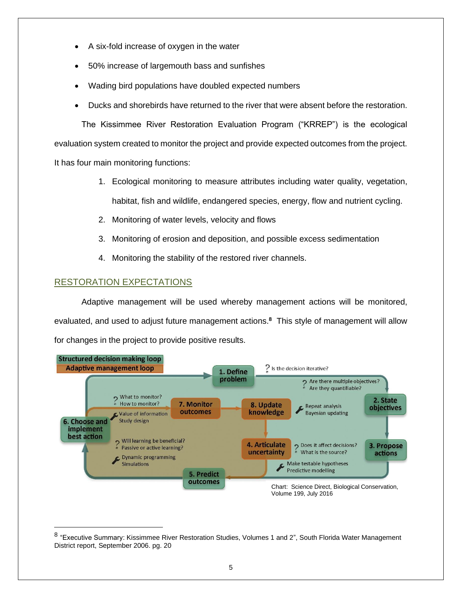- A six-fold increase of oxygen in the water
- 50% increase of largemouth bass and sunfishes
- Wading bird populations have doubled expected numbers
- Ducks and shorebirds have returned to the river that were absent before the restoration.

The Kissimmee River Restoration Evaluation Program ("KRREP") is the ecological evaluation system created to monitor the project and provide expected outcomes from the project. It has four main monitoring functions:

- 1. Ecological monitoring to measure attributes including water quality, vegetation, habitat, fish and wildlife, endangered species, energy, flow and nutrient cycling.
- 2. Monitoring of water levels, velocity and flows
- 3. Monitoring of erosion and deposition, and possible excess sedimentation
- 4. Monitoring the stability of the restored river channels.

# RESTORATION EXPECTATIONS

Adaptive management will be used whereby management actions will be monitored, evaluated, and used to adjust future management actions.**<sup>8</sup>** This style of management will allow for changes in the project to provide positive results.



<sup>&</sup>lt;sup>8</sup> "Executive Summary: Kissimmee River Restoration Studies, Volumes 1 and 2", South Florida Water Management District report, September 2006. pg. 20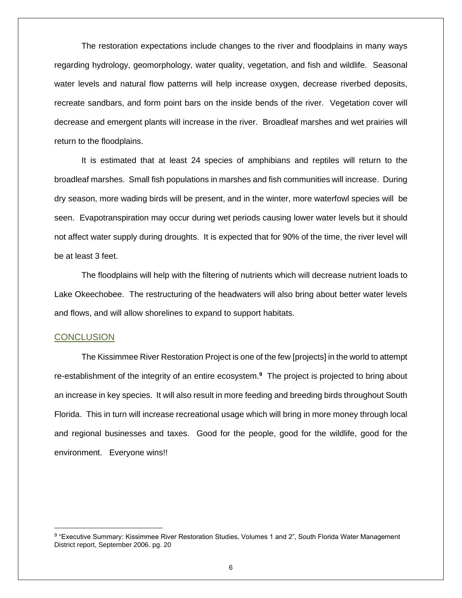The restoration expectations include changes to the river and floodplains in many ways regarding hydrology, geomorphology, water quality, vegetation, and fish and wildlife. Seasonal water levels and natural flow patterns will help increase oxygen, decrease riverbed deposits, recreate sandbars, and form point bars on the inside bends of the river. Vegetation cover will decrease and emergent plants will increase in the river. Broadleaf marshes and wet prairies will return to the floodplains.

It is estimated that at least 24 species of amphibians and reptiles will return to the broadleaf marshes. Small fish populations in marshes and fish communities will increase. During dry season, more wading birds will be present, and in the winter, more waterfowl species will be seen. Evapotranspiration may occur during wet periods causing lower water levels but it should not affect water supply during droughts. It is expected that for 90% of the time, the river level will be at least 3 feet.

The floodplains will help with the filtering of nutrients which will decrease nutrient loads to Lake Okeechobee. The restructuring of the headwaters will also bring about better water levels and flows, and will allow shorelines to expand to support habitats.

#### **CONCLUSION**

The Kissimmee River Restoration Project is one of the few [projects] in the world to attempt re-establishment of the integrity of an entire ecosystem.<sup>9</sup> The project is projected to bring about an increase in key species. It will also result in more feeding and breeding birds throughout South Florida. This in turn will increase recreational usage which will bring in more money through local and regional businesses and taxes. Good for the people, good for the wildlife, good for the environment. Everyone wins!!

<sup>&</sup>lt;sup>9</sup> "Executive Summary: Kissimmee River Restoration Studies, Volumes 1 and 2", South Florida Water Management District report, September 2006. pg. 20